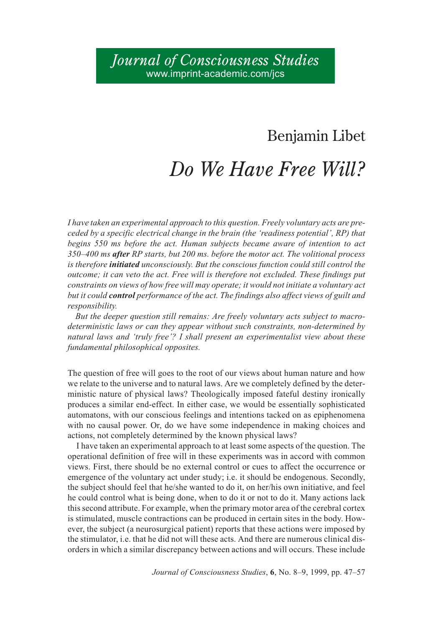# *Journal of Consciousness Studies* www.imprint-academic.com/jcs

# Benjamin Libet *Do We Have Free Will?*

*I have taken an experimental approach to this question. Freely voluntary acts are preceded by a specific electrical change in the brain (the 'readiness potential', RP) that begins 550 ms before the act. Human subjects became aware of intention to act 350–400 ms after RP starts, but 200 ms. before the motor act. The volitional process is therefore initiated unconsciously. But the conscious function could still control the outcome; it can veto the act. Free will is therefore not excluded. These findings put constraints on views of how free will may operate; it would not initiate a voluntary act but it could control performance of the act. The findings also affect views of guilt and responsibility.*

*But the deeper question still remains: Are freely voluntary acts subject to macrodeterministic laws or can they appear without such constraints, non-determined by natural laws and 'truly free'? I shall present an experimentalist view about these fundamental philosophical opposites.*

The question of free will goes to the root of our views about human nature and how we relate to the universe and to natural laws. Are we completely defined by the deterministic nature of physical laws? Theologically imposed fateful destiny ironically produces a similar end-effect. In either case, we would be essentially sophisticated automatons, with our conscious feelings and intentions tacked on as epiphenomena with no causal power. Or, do we have some independence in making choices and actions, not completely determined by the known physical laws?

I have taken an experimental approach to at least some aspects of the question. The operational definition of free will in these experiments was in accord with common views. First, there should be no external control or cues to affect the occurrence or emergence of the voluntary act under study; i.e. it should be endogenous. Secondly, the subject should feel that he/she wanted to do it, on her/his own initiative, and feel he could control what is being done, when to do it or not to do it. Many actions lack this second attribute. For example, when the primary motor area of the cerebral cortex is stimulated, muscle contractions can be produced in certain sites in the body. However, the subject (a neurosurgical patient) reports that these actions were imposed by the stimulator, i.e. that he did not will these acts. And there are numerous clinical disorders in which a similar discrepancy between actions and will occurs. These include

*Journal of Consciousness Studies*, **6**, No. 8–9, 1999, pp. 47–57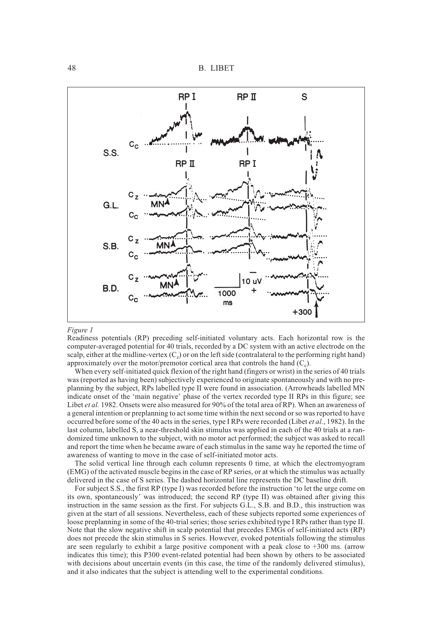

#### *Figure 1*

Readiness potentials (RP) preceding self-initiated voluntary acts. Each horizontal row is the computer-averaged potential for 40 trials, recorded by a DC system with an active electrode on the scalp, either at the midline-vertex  $(C_z)$  or on the left side (contralateral to the performing right hand) approximately over the motor/premotor cortical area that controls the hand  $(C<sub>c</sub>)$ .

When every self-initiated quick flexion of the right hand (fingers or wrist) in the series of 40 trials was (reported as having been) subjectively experienced to originate spontaneously and with no preplanning by the subject, RPs labelled type II were found in association. (Arrowheads labelled MN indicate onset of the 'main negative' phase of the vertex recorded type II RPs in this figure; see Libet *et al.* 1982. Onsets were also measured for 90% of the total area of RP). When an awareness of a general intention or preplanning to act some time within the next second or so was reported to have occurred before some of the 40 acts in the series, type I RPs were recorded (Libet *et al.*, 1982). In the last column, labelled S, a near-threshold skin stimulus was applied in each of the 40 trials at a randomized time unknown to the subject, with no motor act performed; the subject was asked to recall and report the time when he became aware of each stimulus in the same way he reported the time of awareness of wanting to move in the case of self-initiated motor acts.

The solid vertical line through each column represents 0 time, at which the electromyogram (EMG) of the activated muscle begins in the case of RP series, or at which the stimulus was actually delivered in the case of S series. The dashed horizontal line represents the DC baseline drift.

For subject S.S., the first RP (type I) was recorded before the instruction 'to let the urge come on its own, spontaneously' was introduced; the second RP (type II) was obtained after giving this instruction in the same session as the first. For subjects G.L., S.B. and B.D., this instruction was given at the start of all sessions. Nevertheless, each of these subjects reported some experiences of loose preplanning in some of the 40-trial series; those series exhibited type I RPs rather than type II. Note that the slow negative shift in scalp potential that precedes EMGs of self-initiated acts (RP) does not precede the skin stimulus in S series. However, evoked potentials following the stimulus are seen regularly to exhibit a large positive component with a peak close to  $+300$  ms. (arrow indicates this time); this P300 event-related potential had been shown by others to be associated with decisions about uncertain events (in this case, the time of the randomly delivered stimulus), and it also indicates that the subject is attending well to the experimental conditions.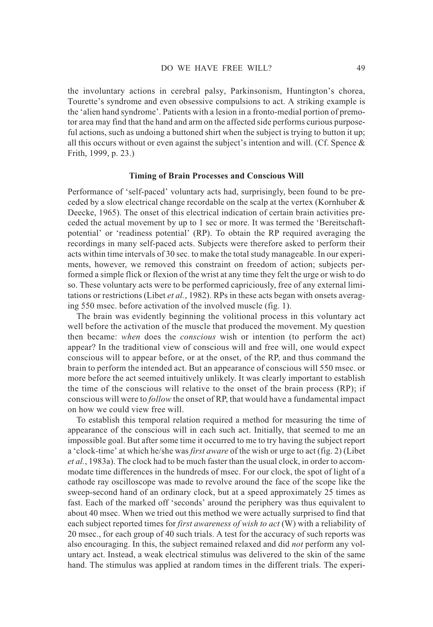the involuntary actions in cerebral palsy, Parkinsonism, Huntington's chorea, Tourette's syndrome and even obsessive compulsions to act. A striking example is the 'alien hand syndrome'. Patients with a lesion in a fronto-medial portion of premotor area may find that the hand and arm on the affected side performs curious purposeful actions, such as undoing a buttoned shirt when the subject is trying to button it up; all this occurs without or even against the subject's intention and will. (Cf. Spence  $\&$ Frith, 1999, p. 23.)

#### **Timing of Brain Processes and Conscious Will**

Performance of 'self-paced' voluntary acts had, surprisingly, been found to be preceded by a slow electrical change recordable on the scalp at the vertex (Kornhuber  $\&$ Deecke, 1965). The onset of this electrical indication of certain brain activities preceded the actual movement by up to 1 sec or more. It was termed the 'Bereitschaftpotential' or 'readiness potential' (RP). To obtain the RP required averaging the recordings in many self-paced acts. Subjects were therefore asked to perform their acts within time intervals of 30 sec. to make the total study manageable. In our experiments, however, we removed this constraint on freedom of action; subjects performed a simple flick or flexion of the wrist at any time they felt the urge or wish to do so. These voluntary acts were to be performed capriciously, free of any external limitations or restrictions (Libet *et al.*, 1982). RPs in these acts began with onsets averaging 550 msec. before activation of the involved muscle (fig. 1).

The brain was evidently beginning the volitional process in this voluntary act well before the activation of the muscle that produced the movement. My question then became: *when* does the *conscious* wish or intention (to perform the act) appear? In the traditional view of conscious will and free will, one would expect conscious will to appear before, or at the onset, of the RP, and thus command the brain to perform the intended act. But an appearance of conscious will 550 msec. or more before the act seemed intuitively unlikely. It was clearly important to establish the time of the conscious will relative to the onset of the brain process (RP); if conscious will were to *follow* the onset of RP, that would have a fundamental impact on how we could view free will.

To establish this temporal relation required a method for measuring the time of appearance of the conscious will in each such act. Initially, that seemed to me an impossible goal. But after some time it occurred to me to try having the subject report a 'clock-time' at which he/she was *first aware* of the wish or urge to act (fig. 2) (Libet *et al.*, 1983a). The clock had to be much faster than the usual clock, in order to accommodate time differences in the hundreds of msec. For our clock, the spot of light of a cathode ray oscilloscope was made to revolve around the face of the scope like the sweep-second hand of an ordinary clock, but at a speed approximately 25 times as fast. Each of the marked off 'seconds' around the periphery was thus equivalent to about 40 msec. When we tried out this method we were actually surprised to find that each subject reported times for *first awareness of wish to act* (W) with a reliability of 20 msec., for each group of 40 such trials. A test for the accuracy of such reports was also encouraging. In this, the subject remained relaxed and did *not* perform any voluntary act. Instead, a weak electrical stimulus was delivered to the skin of the same hand. The stimulus was applied at random times in the different trials. The experi-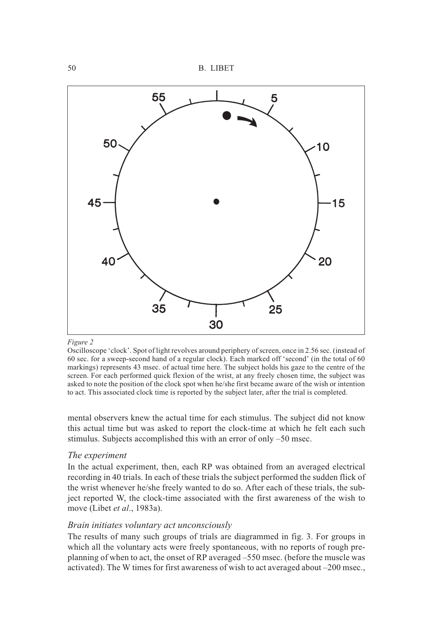

#### *Figure 2*

Oscilloscope 'clock'. Spot of light revolves around periphery of screen, once in 2.56 sec. (instead of 60 sec. for a sweep-second hand of a regular clock). Each marked off 'second' (in the total of 60 markings) represents 43 msec. of actual time here. The subject holds his gaze to the centre of the screen. For each performed quick flexion of the wrist, at any freely chosen time, the subject was asked to note the position of the clock spot when he/she first became aware of the wish or intention to act. This associated clock time is reported by the subject later, after the trial is completed.

mental observers knew the actual time for each stimulus. The subject did not know this actual time but was asked to report the clock-time at which he felt each such stimulus. Subjects accomplished this with an error of only –50 msec.

#### *The experiment*

In the actual experiment, then, each RP was obtained from an averaged electrical recording in 40 trials. In each of these trials the subject performed the sudden flick of the wrist whenever he/she freely wanted to do so. After each of these trials, the subject reported W, the clock-time associated with the first awareness of the wish to move (Libet *et al*., 1983a).

# *Brain initiates voluntary act unconsciously*

The results of many such groups of trials are diagrammed in fig. 3. For groups in which all the voluntary acts were freely spontaneous, with no reports of rough preplanning of when to act, the onset of RP averaged –550 msec. (before the muscle was activated). The W times for first awareness of wish to act averaged about –200 msec.,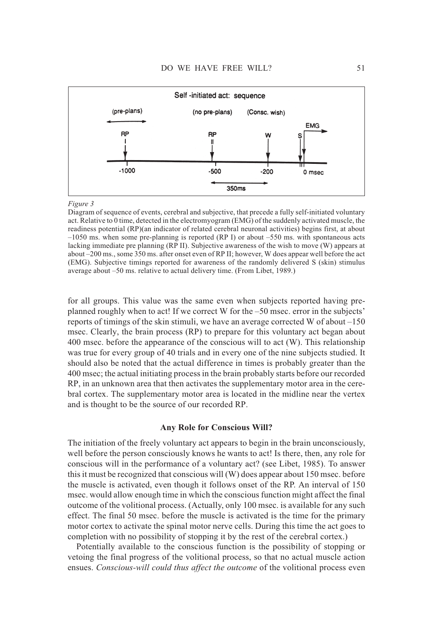

#### *Figure 3*

Diagram of sequence of events, cerebral and subjective, that precede a fully self-initiated voluntary act. Relative to 0 time, detected in the electromyogram (EMG) of the suddenly activated muscle, the readiness potential (RP)(an indicator of related cerebral neuronal activities) begins first, at about –1050 ms. when some pre-planning is reported (RP I) or about –550 ms. with spontaneous acts lacking immediate pre planning (RP II). Subjective awareness of the wish to move (W) appears at about –200 ms., some 350 ms. after onset even of RP II; however, W does appear well before the act (EMG). Subjective timings reported for awareness of the randomly delivered S (skin) stimulus average about –50 ms. relative to actual delivery time. (From Libet, 1989.)

for all groups. This value was the same even when subjects reported having preplanned roughly when to act! If we correct W for the –50 msec. error in the subjects' reports of timings of the skin stimuli, we have an average corrected W of about –150 msec. Clearly, the brain process (RP) to prepare for this voluntary act began about 400 msec. before the appearance of the conscious will to act (W). This relationship was true for every group of 40 trials and in every one of the nine subjects studied. It should also be noted that the actual difference in times is probably greater than the 400 msec; the actual initiating process in the brain probably starts before our recorded RP, in an unknown area that then activates the supplementary motor area in the cerebral cortex. The supplementary motor area is located in the midline near the vertex and is thought to be the source of our recorded RP.

#### **Any Role for Conscious Will?**

The initiation of the freely voluntary act appears to begin in the brain unconsciously, well before the person consciously knows he wants to act! Is there, then, any role for conscious will in the performance of a voluntary act? (see Libet, 1985). To answer this it must be recognized that conscious will (W) does appear about 150 msec. before the muscle is activated, even though it follows onset of the RP. An interval of 150 msec. would allow enough time in which the conscious function might affect the final outcome of the volitional process. (Actually, only 100 msec. is available for any such effect. The final 50 msec. before the muscle is activated is the time for the primary motor cortex to activate the spinal motor nerve cells. During this time the act goes to completion with no possibility of stopping it by the rest of the cerebral cortex.)

Potentially available to the conscious function is the possibility of stopping or vetoing the final progress of the volitional process, so that no actual muscle action ensues. *Conscious-will could thus affect the outcome* of the volitional process even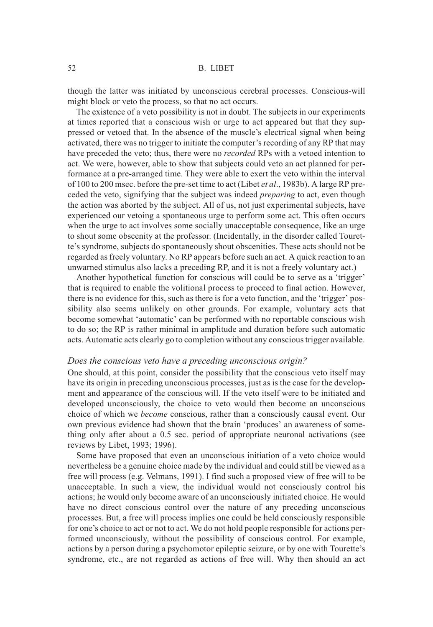though the latter was initiated by unconscious cerebral processes. Conscious-will might block or veto the process, so that no act occurs.

The existence of a veto possibility is not in doubt. The subjects in our experiments at times reported that a conscious wish or urge to act appeared but that they suppressed or vetoed that. In the absence of the muscle's electrical signal when being activated, there was no trigger to initiate the computer's recording of any RP that may have preceded the veto; thus, there were no *recorded* RPs with a vetoed intention to act. We were, however, able to show that subjects could veto an act planned for performance at a pre-arranged time. They were able to exert the veto within the interval of 100 to 200 msec. before the pre-set time to act (Libet *et al*., 1983b). A large RP preceded the veto, signifying that the subject was indeed *preparing* to act, even though the action was aborted by the subject. All of us, not just experimental subjects, have experienced our vetoing a spontaneous urge to perform some act. This often occurs when the urge to act involves some socially unacceptable consequence, like an urge to shout some obscenity at the professor. (Incidentally, in the disorder called Tourette's syndrome, subjects do spontaneously shout obscenities. These acts should not be regarded as freely voluntary. No RP appears before such an act. A quick reaction to an unwarned stimulus also lacks a preceding RP, and it is not a freely voluntary act.)

Another hypothetical function for conscious will could be to serve as a 'trigger' that is required to enable the volitional process to proceed to final action. However, there is no evidence for this, such as there is for a veto function, and the 'trigger' possibility also seems unlikely on other grounds. For example, voluntary acts that become somewhat 'automatic' can be performed with no reportable conscious wish to do so; the RP is rather minimal in amplitude and duration before such automatic acts. Automatic acts clearly go to completion without any conscious trigger available.

# *Does the conscious veto have a preceding unconscious origin?*

One should, at this point, consider the possibility that the conscious veto itself may have its origin in preceding unconscious processes, just as is the case for the development and appearance of the conscious will. If the veto itself were to be initiated and developed unconsciously, the choice to veto would then become an unconscious choice of which we *become* conscious, rather than a consciously causal event. Our own previous evidence had shown that the brain 'produces' an awareness of something only after about a 0.5 sec. period of appropriate neuronal activations (see reviews by Libet, 1993; 1996).

Some have proposed that even an unconscious initiation of a veto choice would nevertheless be a genuine choice made by the individual and could still be viewed as a free will process (e.g. Velmans, 1991). I find such a proposed view of free will to be unacceptable. In such a view, the individual would not consciously control his actions; he would only become aware of an unconsciously initiated choice. He would have no direct conscious control over the nature of any preceding unconscious processes. But, a free will process implies one could be held consciously responsible for one's choice to act or not to act. We do not hold people responsible for actions performed unconsciously, without the possibility of conscious control. For example, actions by a person during a psychomotor epileptic seizure, or by one with Tourette's syndrome, etc., are not regarded as actions of free will. Why then should an act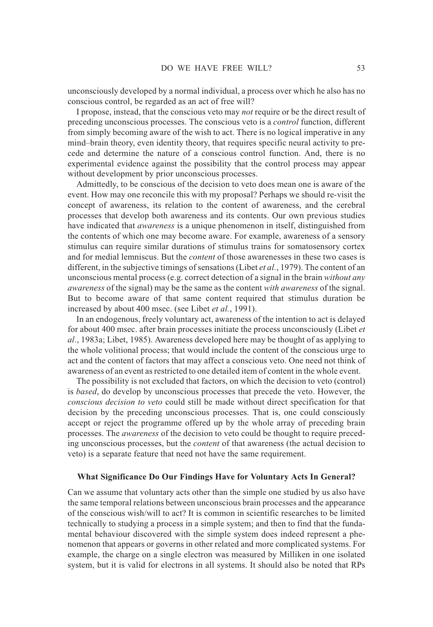unconsciously developed by a normal individual, a process over which he also has no conscious control, be regarded as an act of free will?

I propose, instead, that the conscious veto may *not* require or be the direct result of preceding unconscious processes. The conscious veto is a *control* function, different from simply becoming aware of the wish to act. There is no logical imperative in any mind–brain theory, even identity theory, that requires specific neural activity to precede and determine the nature of a conscious control function. And, there is no experimental evidence against the possibility that the control process may appear without development by prior unconscious processes.

Admittedly, to be conscious of the decision to veto does mean one is aware of the event. How may one reconcile this with my proposal? Perhaps we should re-visit the concept of awareness, its relation to the content of awareness, and the cerebral processes that develop both awareness and its contents. Our own previous studies have indicated that *awareness* is a unique phenomenon in itself, distinguished from the contents of which one may become aware. For example, awareness of a sensory stimulus can require similar durations of stimulus trains for somatosensory cortex and for medial lemniscus. But the *content* of those awarenesses in these two cases is different, in the subjective timings of sensations (Libet *et al.*, 1979). The content of an unconscious mental process (e.g. correct detection of a signal in the brain *without any awareness* of the signal) may be the same as the content *with awareness* of the signal. But to become aware of that same content required that stimulus duration be increased by about 400 msec. (see Libet *et al.*, 1991).

In an endogenous, freely voluntary act, awareness of the intention to act is delayed for about 400 msec. after brain processes initiate the process unconsciously (Libet *et al*., 1983a; Libet, 1985). Awareness developed here may be thought of as applying to the whole volitional process; that would include the content of the conscious urge to act and the content of factors that may affect a conscious veto. One need not think of awareness of an event as restricted to one detailed item of content in the whole event.

The possibility is not excluded that factors, on which the decision to veto (control) is *based*, do develop by unconscious processes that precede the veto. However, the *conscious decision to veto* could still be made without direct specification for that decision by the preceding unconscious processes. That is, one could consciously accept or reject the programme offered up by the whole array of preceding brain processes. The *awareness* of the decision to veto could be thought to require preceding unconscious processes, but the *content* of that awareness (the actual decision to veto) is a separate feature that need not have the same requirement.

#### **What Significance Do Our Findings Have for Voluntary Acts In General?**

Can we assume that voluntary acts other than the simple one studied by us also have the same temporal relations between unconscious brain processes and the appearance of the conscious wish/will to act? It is common in scientific researches to be limited technically to studying a process in a simple system; and then to find that the fundamental behaviour discovered with the simple system does indeed represent a phenomenon that appears or governs in other related and more complicated systems. For example, the charge on a single electron was measured by Milliken in one isolated system, but it is valid for electrons in all systems. It should also be noted that RPs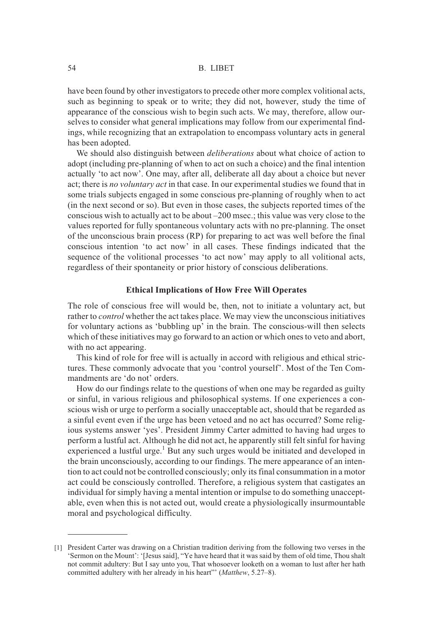# 54 B. LIBET

have been found by other investigators to precede other more complex volitional acts, such as beginning to speak or to write; they did not, however, study the time of appearance of the conscious wish to begin such acts. We may, therefore, allow ourselves to consider what general implications may follow from our experimental findings, while recognizing that an extrapolation to encompass voluntary acts in general has been adopted.

We should also distinguish between *deliberations* about what choice of action to adopt (including pre-planning of when to act on such a choice) and the final intention actually 'to act now'. One may, after all, deliberate all day about a choice but never act; there is *no voluntary act* in that case. In our experimental studies we found that in some trials subjects engaged in some conscious pre-planning of roughly when to act (in the next second or so). But even in those cases, the subjects reported times of the conscious wish to actually act to be about –200 msec.; this value was very close to the values reported for fully spontaneous voluntary acts with no pre-planning. The onset of the unconscious brain process (RP) for preparing to act was well before the final conscious intention 'to act now' in all cases. These findings indicated that the sequence of the volitional processes 'to act now' may apply to all volitional acts, regardless of their spontaneity or prior history of conscious deliberations.

# **Ethical Implications of How Free Will Operates**

The role of conscious free will would be, then, not to initiate a voluntary act, but rather to *control* whether the act takes place. We may view the unconscious initiatives for voluntary actions as 'bubbling up' in the brain. The conscious-will then selects which of these initiatives may go forward to an action or which ones to veto and abort, with no act appearing.

This kind of role for free will is actually in accord with religious and ethical strictures. These commonly advocate that you 'control yourself'. Most of the Ten Commandments are 'do not' orders.

How do our findings relate to the questions of when one may be regarded as guilty or sinful, in various religious and philosophical systems. If one experiences a conscious wish or urge to perform a socially unacceptable act, should that be regarded as a sinful event even if the urge has been vetoed and no act has occurred? Some religious systems answer 'yes'. President Jimmy Carter admitted to having had urges to perform a lustful act. Although he did not act, he apparently still felt sinful for having experienced a lustful urge.<sup>1</sup> But any such urges would be initiated and developed in the brain unconsciously, according to our findings. The mere appearance of an intention to act could not be controlled consciously; only its final consummation in a motor act could be consciously controlled. Therefore, a religious system that castigates an individual for simply having a mental intention or impulse to do something unacceptable, even when this is not acted out, would create a physiologically insurmountable moral and psychological difficulty.

<sup>[1]</sup> President Carter was drawing on a Christian tradition deriving from the following two verses in the 'Sermon on the Mount': '[Jesus said], "Ye have heard that it was said by them of old time, Thou shalt not commit adultery: But I say unto you, That whosoever looketh on a woman to lust after her hath committed adultery with her already in his heart"' (*Matthew*, 5.27–8).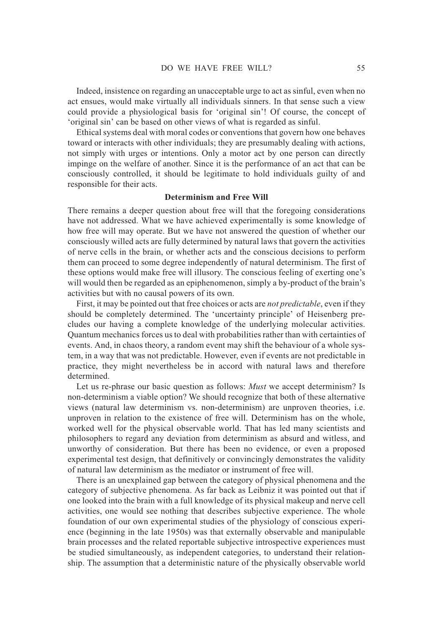Indeed, insistence on regarding an unacceptable urge to act as sinful, even when no act ensues, would make virtually all individuals sinners. In that sense such a view could provide a physiological basis for 'original sin'! Of course, the concept of 'original sin' can be based on other views of what is regarded as sinful.

Ethical systems deal with moral codes or conventions that govern how one behaves toward or interacts with other individuals; they are presumably dealing with actions, not simply with urges or intentions. Only a motor act by one person can directly impinge on the welfare of another. Since it is the performance of an act that can be consciously controlled, it should be legitimate to hold individuals guilty of and responsible for their acts.

# **Determinism and Free Will**

There remains a deeper question about free will that the foregoing considerations have not addressed. What we have achieved experimentally is some knowledge of how free will may operate. But we have not answered the question of whether our consciously willed acts are fully determined by natural laws that govern the activities of nerve cells in the brain, or whether acts and the conscious decisions to perform them can proceed to some degree independently of natural determinism. The first of these options would make free will illusory. The conscious feeling of exerting one's will would then be regarded as an epiphenomenon, simply a by-product of the brain's activities but with no causal powers of its own.

First, it may be pointed out that free choices or acts are *not predictable*, even if they should be completely determined. The 'uncertainty principle' of Heisenberg precludes our having a complete knowledge of the underlying molecular activities. Quantum mechanics forces us to deal with probabilities rather than with certainties of events. And, in chaos theory, a random event may shift the behaviour of a whole system, in a way that was not predictable. However, even if events are not predictable in practice, they might nevertheless be in accord with natural laws and therefore determined.

Let us re-phrase our basic question as follows: *Must* we accept determinism? Is non-determinism a viable option? We should recognize that both of these alternative views (natural law determinism vs. non-determinism) are unproven theories, i.e. unproven in relation to the existence of free will. Determinism has on the whole, worked well for the physical observable world. That has led many scientists and philosophers to regard any deviation from determinism as absurd and witless, and unworthy of consideration. But there has been no evidence, or even a proposed experimental test design, that definitively or convincingly demonstrates the validity of natural law determinism as the mediator or instrument of free will.

There is an unexplained gap between the category of physical phenomena and the category of subjective phenomena. As far back as Leibniz it was pointed out that if one looked into the brain with a full knowledge of its physical makeup and nerve cell activities, one would see nothing that describes subjective experience. The whole foundation of our own experimental studies of the physiology of conscious experience (beginning in the late 1950s) was that externally observable and manipulable brain processes and the related reportable subjective introspective experiences must be studied simultaneously, as independent categories, to understand their relationship. The assumption that a deterministic nature of the physically observable world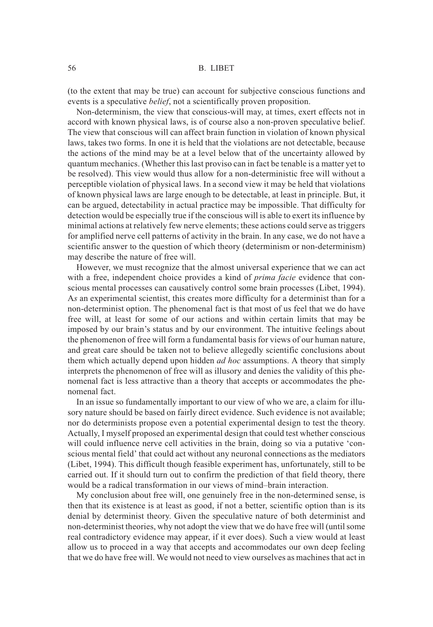(to the extent that may be true) can account for subjective conscious functions and events is a speculative *belief*, not a scientifically proven proposition.

Non-determinism, the view that conscious-will may, at times, exert effects not in accord with known physical laws, is of course also a non-proven speculative belief. The view that conscious will can affect brain function in violation of known physical laws, takes two forms. In one it is held that the violations are not detectable, because the actions of the mind may be at a level below that of the uncertainty allowed by quantum mechanics. (Whether this last proviso can in fact be tenable is a matter yet to be resolved). This view would thus allow for a non-deterministic free will without a perceptible violation of physical laws. In a second view it may be held that violations of known physical laws are large enough to be detectable, at least in principle. But, it can be argued, detectability in actual practice may be impossible. That difficulty for detection would be especially true if the conscious will is able to exert its influence by minimal actions at relatively few nerve elements; these actions could serve as triggers for amplified nerve cell patterns of activity in the brain. In any case, we do not have a scientific answer to the question of which theory (determinism or non-determinism) may describe the nature of free will.

However, we must recognize that the almost universal experience that we can act with a free, independent choice provides a kind of *prima facie* evidence that conscious mental processes can causatively control some brain processes (Libet, 1994). A*s* an experimental scientist, this creates more difficulty for a determinist than for a non-determinist option. The phenomenal fact is that most of us feel that we do have free will, at least for some of our actions and within certain limits that may be imposed by our brain's status and by our environment. The intuitive feelings about the phenomenon of free will form a fundamental basis for views of our human nature, and great care should be taken not to believe allegedly scientific conclusions about them which actually depend upon hidden *ad hoc* assumptions. A theory that simply interprets the phenomenon of free will as illusory and denies the validity of this phenomenal fact is less attractive than a theory that accepts or accommodates the phenomenal fact.

In an issue so fundamentally important to our view of who we are, a claim for illusory nature should be based on fairly direct evidence. Such evidence is not available; nor do determinists propose even a potential experimental design to test the theory. Actually, I myself proposed an experimental design that could test whether conscious will could influence nerve cell activities in the brain, doing so via a putative 'conscious mental field' that could act without any neuronal connections as the mediators (Libet, 1994). This difficult though feasible experiment has, unfortunately, still to be carried out. If it should turn out to confirm the prediction of that field theory, there would be a radical transformation in our views of mind–brain interaction.

My conclusion about free will, one genuinely free in the non-determined sense, is then that its existence is at least as good, if not a better, scientific option than is its denial by determinist theory. Given the speculative nature of both determinist and non-determinist theories, why not adopt the view that we do have free will (until some real contradictory evidence may appear, if it ever does). Such a view would at least allow us to proceed in a way that accepts and accommodates our own deep feeling that we do have free will. We would not need to view ourselves as machines that act in